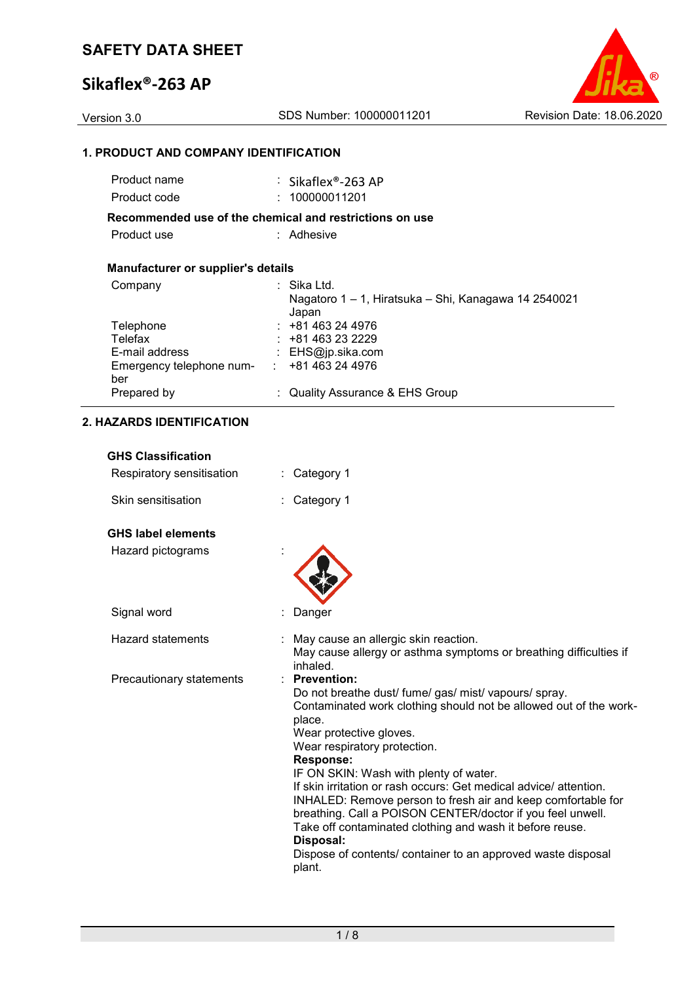### **Sikaflex®-263 AP**

Version 3.0 SDS Number: 100000011201 Revision Date: 18.06.2020

### **1. PRODUCT AND COMPANY IDENTIFICATION**

| Product name                              | : Sikaflex®-263 AP                                                           |
|-------------------------------------------|------------------------------------------------------------------------------|
| Product code                              | : 100000011201                                                               |
|                                           | Recommended use of the chemical and restrictions on use                      |
| Product use                               | : Adhesive                                                                   |
| <b>Manufacturer or supplier's details</b> |                                                                              |
| Company                                   | : Sika Ltd.<br>Nagatoro 1 - 1, Hiratsuka - Shi, Kanagawa 14 2540021<br>Japan |
| Telephone                                 | $: +81463244976$                                                             |
| Telefax                                   | $: +81463232229$                                                             |
| E-mail address                            | : $EHS@ip.sika.com$                                                          |
| Emergency telephone num-<br>ber           | +81 463 24 4976<br><b>Service</b>                                            |
| Prepared by                               | : Quality Assurance & EHS Group                                              |

| ווטוואטוווכפגוט כחט       |                                                                                                                                                                                                                                                                                                                                                                                                                                                                                                                                                                                                                                          |
|---------------------------|------------------------------------------------------------------------------------------------------------------------------------------------------------------------------------------------------------------------------------------------------------------------------------------------------------------------------------------------------------------------------------------------------------------------------------------------------------------------------------------------------------------------------------------------------------------------------------------------------------------------------------------|
| Respiratory sensitisation | Category 1                                                                                                                                                                                                                                                                                                                                                                                                                                                                                                                                                                                                                               |
| Skin sensitisation        | Category 1                                                                                                                                                                                                                                                                                                                                                                                                                                                                                                                                                                                                                               |
| <b>GHS label elements</b> |                                                                                                                                                                                                                                                                                                                                                                                                                                                                                                                                                                                                                                          |
| Hazard pictograms         |                                                                                                                                                                                                                                                                                                                                                                                                                                                                                                                                                                                                                                          |
| Signal word               | Danger                                                                                                                                                                                                                                                                                                                                                                                                                                                                                                                                                                                                                                   |
| <b>Hazard statements</b>  | May cause an allergic skin reaction.<br>May cause allergy or asthma symptoms or breathing difficulties if<br>inhaled.                                                                                                                                                                                                                                                                                                                                                                                                                                                                                                                    |
| Precautionary statements  | <b>Prevention:</b><br>Do not breathe dust/ fume/ gas/ mist/ vapours/ spray.<br>Contaminated work clothing should not be allowed out of the work-<br>place.<br>Wear protective gloves.<br>Wear respiratory protection.<br><b>Response:</b><br>IF ON SKIN: Wash with plenty of water.<br>If skin irritation or rash occurs: Get medical advice/attention.<br>INHALED: Remove person to fresh air and keep comfortable for<br>breathing. Call a POISON CENTER/doctor if you feel unwell.<br>Take off contaminated clothing and wash it before reuse.<br>Disposal:<br>Dispose of contents/ container to an approved waste disposal<br>plant. |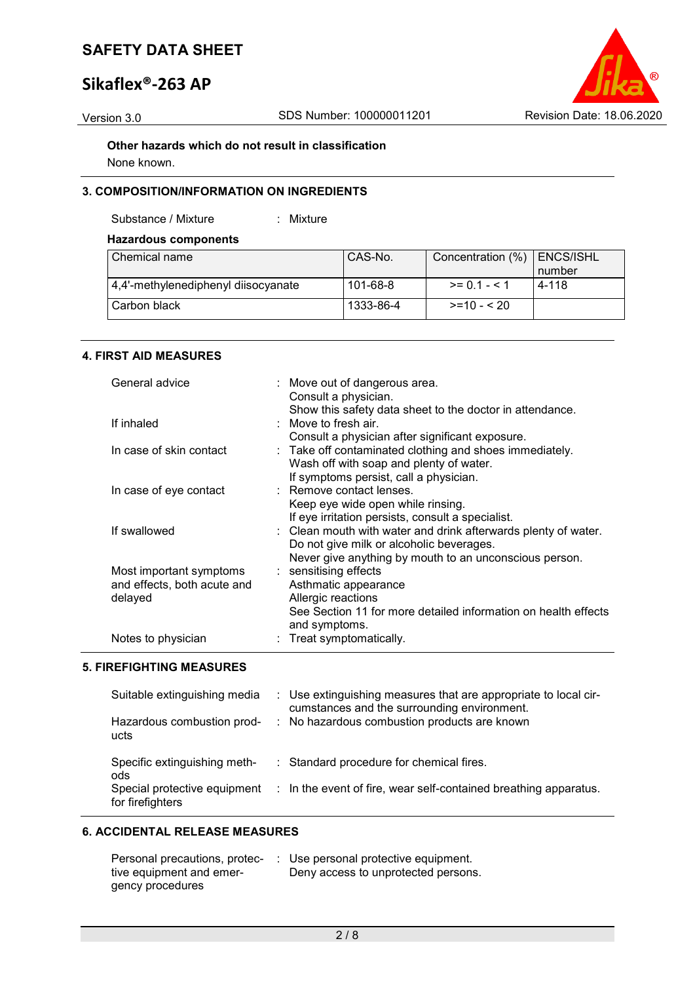### **Sikaflex®-263 AP**



**Other hazards which do not result in classification** None known.

### **3. COMPOSITION/INFORMATION ON INGREDIENTS**

Substance / Mixture : Mixture

### **Hazardous components**

| Chemical name                       | CAS-No.   | Concentration (%) | ENCS/ISHL |
|-------------------------------------|-----------|-------------------|-----------|
|                                     |           |                   | number    |
| 4,4'-methylenediphenyl diisocyanate | 101-68-8  | $>= 0.1 - 5.1$    | 4-118     |
| Carbon black                        | 1333-86-4 | $>=10 - 520$      |           |

### **4. FIRST AID MEASURES**

| General advice              | : Move out of dangerous area.<br>Consult a physician.          |
|-----------------------------|----------------------------------------------------------------|
|                             | Show this safety data sheet to the doctor in attendance.       |
| If inhaled                  | : Move to fresh air.                                           |
|                             | Consult a physician after significant exposure.                |
| In case of skin contact     | : Take off contaminated clothing and shoes immediately.        |
|                             | Wash off with soap and plenty of water.                        |
|                             | If symptoms persist, call a physician.                         |
| In case of eye contact      | : Remove contact lenses.                                       |
|                             | Keep eye wide open while rinsing.                              |
|                             | If eye irritation persists, consult a specialist.              |
| If swallowed                | : Clean mouth with water and drink afterwards plenty of water. |
|                             | Do not give milk or alcoholic beverages.                       |
|                             | Never give anything by mouth to an unconscious person.         |
| Most important symptoms     | : sensitising effects                                          |
| and effects, both acute and | Asthmatic appearance                                           |
| delayed                     | Allergic reactions                                             |
|                             | See Section 11 for more detailed information on health effects |
|                             | and symptoms.                                                  |
| Notes to physician          | : Treat symptomatically.                                       |

#### **5. FIREFIGHTING MEASURES**

| Suitable extinguishing media                                                            | : Use extinguishing measures that are appropriate to local cir-                                                         |
|-----------------------------------------------------------------------------------------|-------------------------------------------------------------------------------------------------------------------------|
| Hazardous combustion prod-                                                              | cumstances and the surrounding environment.                                                                             |
| ucts                                                                                    | : No hazardous combustion products are known                                                                            |
| Specific extinguishing meth-<br>ods<br>Special protective equipment<br>for firefighters | : Standard procedure for chemical fires.<br>$\therefore$ In the event of fire, wear self-contained breathing apparatus. |

### **6. ACCIDENTAL RELEASE MEASURES**

| Personal precautions, protec- | $\therefore$ Use personal protective equipment. |
|-------------------------------|-------------------------------------------------|
| tive equipment and emer-      | Deny access to unprotected persons.             |
| gency procedures              |                                                 |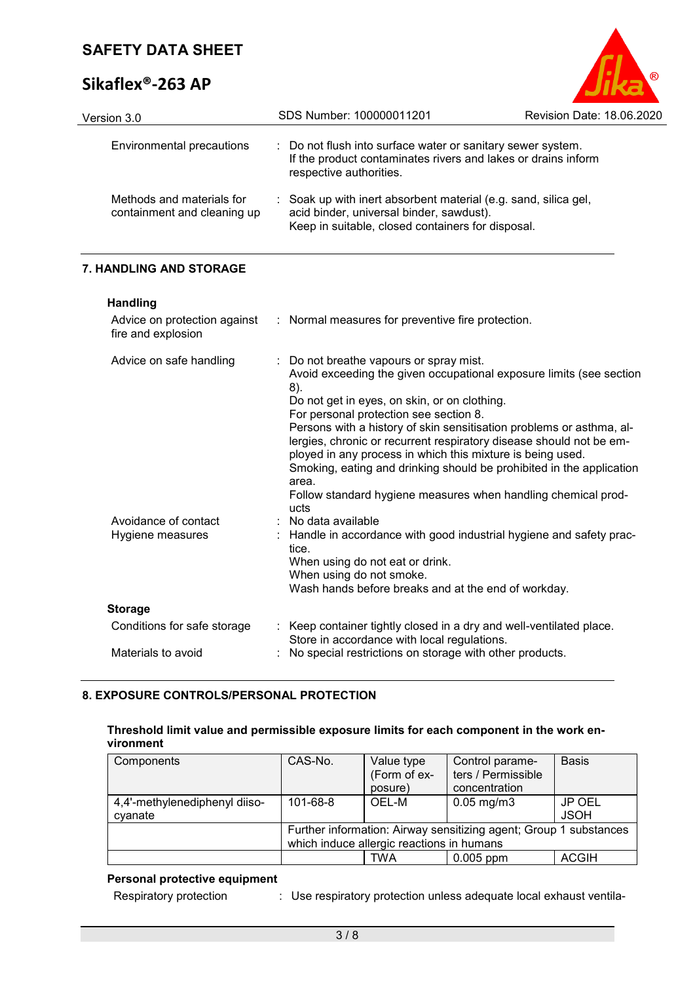Version 3.0 SDS

## **Sikaflex®-263 AP**

| aflex®-263 AP             |                                                                                                                              |                           |
|---------------------------|------------------------------------------------------------------------------------------------------------------------------|---------------------------|
| on 3.0                    | SDS Number: 100000011201                                                                                                     | Revision Date: 18.06.2020 |
| Environmental precautions | : Do not flush into surface water or sanitary sewer system.<br>If the product contaminates rivers and lakes or drains inform |                           |

| Methods and materials for<br>containment and cleaning up | : Soak up with inert absorbent material (e.g. sand, silica gel,<br>acid binder, universal binder, sawdust).<br>Keep in suitable, closed containers for disposal. |
|----------------------------------------------------------|------------------------------------------------------------------------------------------------------------------------------------------------------------------|
|----------------------------------------------------------|------------------------------------------------------------------------------------------------------------------------------------------------------------------|

respective authorities.

### **7. HANDLING AND STORAGE**

**Handling**

| fire and explosion                       | Advice on protection against : Normal measures for preventive fire protection.                                                                                                                                                                                                                                                                                                                                                                                                                                                                                                         |
|------------------------------------------|----------------------------------------------------------------------------------------------------------------------------------------------------------------------------------------------------------------------------------------------------------------------------------------------------------------------------------------------------------------------------------------------------------------------------------------------------------------------------------------------------------------------------------------------------------------------------------------|
| Advice on safe handling                  | : Do not breathe vapours or spray mist.<br>Avoid exceeding the given occupational exposure limits (see section<br>8).<br>Do not get in eyes, on skin, or on clothing.<br>For personal protection see section 8.<br>Persons with a history of skin sensitisation problems or asthma, al-<br>lergies, chronic or recurrent respiratory disease should not be em-<br>ployed in any process in which this mixture is being used.<br>Smoking, eating and drinking should be prohibited in the application<br>area.<br>Follow standard hygiene measures when handling chemical prod-<br>ucts |
| Avoidance of contact<br>Hygiene measures | $:$ No data available<br>: Handle in accordance with good industrial hygiene and safety prac-<br>tice.<br>When using do not eat or drink.<br>When using do not smoke.<br>Wash hands before breaks and at the end of workday.                                                                                                                                                                                                                                                                                                                                                           |
| <b>Storage</b>                           |                                                                                                                                                                                                                                                                                                                                                                                                                                                                                                                                                                                        |
| Conditions for safe storage              | : Keep container tightly closed in a dry and well-ventilated place.<br>Store in accordance with local regulations.                                                                                                                                                                                                                                                                                                                                                                                                                                                                     |
| Materials to avoid                       | : No special restrictions on storage with other products.                                                                                                                                                                                                                                                                                                                                                                                                                                                                                                                              |
|                                          |                                                                                                                                                                                                                                                                                                                                                                                                                                                                                                                                                                                        |

### **8. EXPOSURE CONTROLS/PERSONAL PROTECTION**

### **Threshold limit value and permissible exposure limits for each component in the work environment**

| Components                    | CAS-No.                                                           | Value type   | Control parame-         | <b>Basis</b> |
|-------------------------------|-------------------------------------------------------------------|--------------|-------------------------|--------------|
|                               |                                                                   | (Form of ex- | ters / Permissible      |              |
|                               |                                                                   | posure)      | concentration           |              |
| 4,4'-methylenediphenyl diiso- | 101-68-8                                                          | OEL-M        | $0.05 \,\mathrm{mg/m3}$ | JP OEL       |
| cvanate                       |                                                                   |              |                         | <b>JSOH</b>  |
|                               | Further information: Airway sensitizing agent; Group 1 substances |              |                         |              |
|                               | which induce allergic reactions in humans                         |              |                         |              |
|                               |                                                                   | TWA          | $0.005$ ppm             | <b>ACGIH</b> |

### **Personal protective equipment**

| Respiratory protection | Use respiratory protection unless adequate local exhaust ventila- |
|------------------------|-------------------------------------------------------------------|
|                        |                                                                   |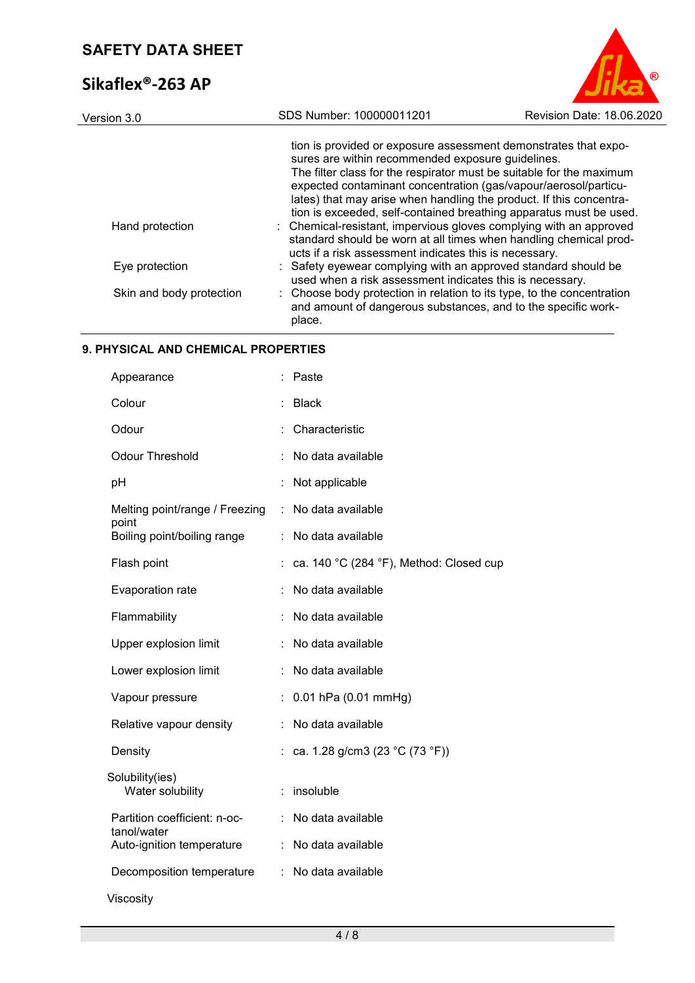## **Sikaflex®-263 AP**



| Version 3.0              | SDS Number: 100000011201                                                                                                                                                                                                                                                                                                                                                                                     | Revision Date: 18.06.2020 |  |
|--------------------------|--------------------------------------------------------------------------------------------------------------------------------------------------------------------------------------------------------------------------------------------------------------------------------------------------------------------------------------------------------------------------------------------------------------|---------------------------|--|
|                          | tion is provided or exposure assessment demonstrates that expo-<br>sures are within recommended exposure guidelines.<br>The filter class for the respirator must be suitable for the maximum<br>expected contaminant concentration (gas/vapour/aerosol/particu-<br>lates) that may arise when handling the product. If this concentra-<br>tion is exceeded, self-contained breathing apparatus must be used. |                           |  |
| Hand protection          | : Chemical-resistant, impervious gloves complying with an approved<br>standard should be worn at all times when handling chemical prod-<br>ucts if a risk assessment indicates this is necessary.                                                                                                                                                                                                            |                           |  |
| Eye protection           | : Safety eyewear complying with an approved standard should be<br>used when a risk assessment indicates this is necessary.                                                                                                                                                                                                                                                                                   |                           |  |
| Skin and body protection | : Choose body protection in relation to its type, to the concentration<br>and amount of dangerous substances, and to the specific work-<br>place.                                                                                                                                                                                                                                                            |                           |  |

### **9. PHYSICAL AND CHEMICAL PROPERTIES**

| Appearance                                  |   | Paste                                   |
|---------------------------------------------|---|-----------------------------------------|
| Colour                                      |   | <b>Black</b>                            |
| Odour                                       |   | Characteristic                          |
| <b>Odour Threshold</b>                      |   | No data available                       |
| pH                                          |   | Not applicable                          |
| Melting point/range / Freezing<br>point     | ÷ | No data available                       |
| Boiling point/boiling range                 | t | No data available                       |
| Flash point                                 |   | ca. 140 °C (284 °F), Method: Closed cup |
| Evaporation rate                            |   | No data available                       |
| Flammability                                |   | No data available                       |
| Upper explosion limit                       |   | No data available                       |
| Lower explosion limit                       |   | No data available                       |
| Vapour pressure                             |   | $0.01$ hPa $(0.01$ mmHg)                |
| Relative vapour density                     | t | No data available                       |
| Density                                     |   | ca. 1.28 g/cm3 (23 °C (73 °F))          |
| Solubility(ies)<br>Water solubility         |   | insoluble                               |
| Partition coefficient: n-oc-<br>tanol/water |   | No data available                       |
| Auto-ignition temperature                   |   | No data available                       |
| Decomposition temperature                   | ÷ | No data available                       |
| Viscosity                                   |   |                                         |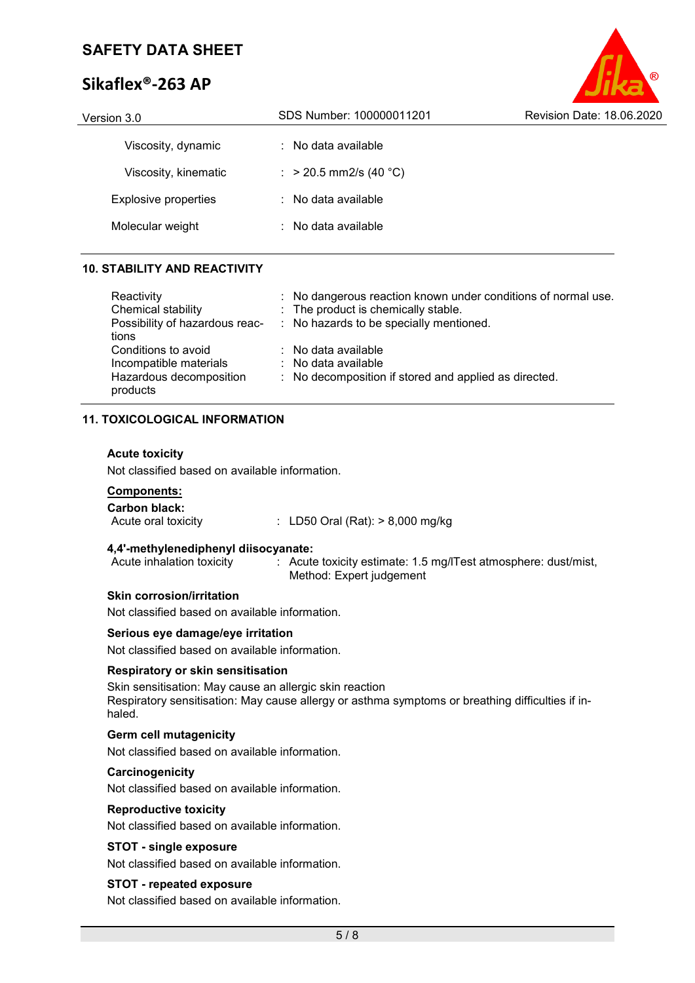### **Sikaflex®-263 AP**

| Version 3.0                 | SDS Number: 100000011201       | Revision Date: 18.06.2020 |
|-----------------------------|--------------------------------|---------------------------|
| Viscosity, dynamic          | $:$ No data available          |                           |
| Viscosity, kinematic        | : > 20.5 mm2/s (40 °C)         |                           |
| <b>Explosive properties</b> | $\therefore$ No data available |                           |
| Molecular weight            | $:$ No data available          |                           |
|                             |                                |                           |

### **10. STABILITY AND REACTIVITY**

| Reactivity                                                                           | : No dangerous reaction known under conditions of normal use.                                       |
|--------------------------------------------------------------------------------------|-----------------------------------------------------------------------------------------------------|
| Chemical stability                                                                   | : The product is chemically stable.                                                                 |
| tions                                                                                | Possibility of hazardous reac- : No hazards to be specially mentioned.                              |
| Conditions to avoid<br>Incompatible materials<br>Hazardous decomposition<br>products | : No data available<br>: No data available<br>: No decomposition if stored and applied as directed. |

### **11. TOXICOLOGICAL INFORMATION**

### **Acute toxicity**

Not classified based on available information.

### **Components:**

**Carbon black:**  $\therefore$  LD50 Oral (Rat): > 8,000 mg/kg

# **4,4'-methylenediphenyl diisocyanate:**

: Acute toxicity estimate: 1.5 mg/lTest atmosphere: dust/mist, Method: Expert judgement

### **Skin corrosion/irritation**

Not classified based on available information.

### **Serious eye damage/eye irritation**

Not classified based on available information.

### **Respiratory or skin sensitisation**

Skin sensitisation: May cause an allergic skin reaction Respiratory sensitisation: May cause allergy or asthma symptoms or breathing difficulties if inhaled.

### **Germ cell mutagenicity**

Not classified based on available information.

### **Carcinogenicity**

Not classified based on available information.

#### **Reproductive toxicity**

Not classified based on available information.

### **STOT - single exposure**

Not classified based on available information.

### **STOT - repeated exposure**

Not classified based on available information.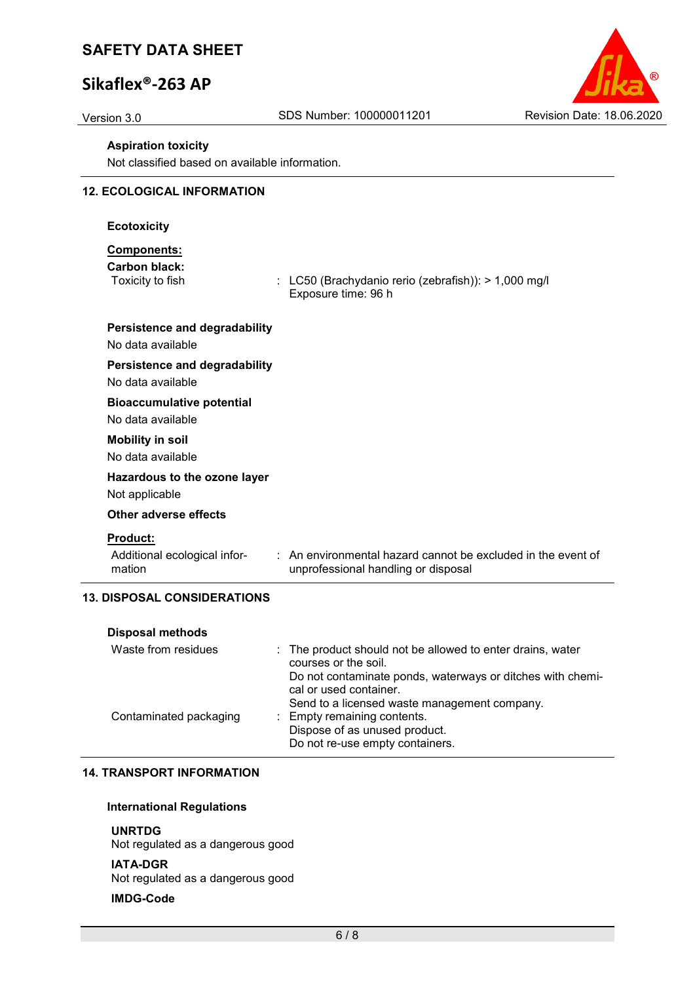### **Sikaflex®-263 AP**



#### **Aspiration toxicity**

Not classified based on available information.

### **12. ECOLOGICAL INFORMATION**

#### **Ecotoxicity**

### **Components:**

**Carbon black:**

 $\therefore$  LC50 (Brachydanio rerio (zebrafish)): > 1,000 mg/l Exposure time: 96 h

### **Persistence and degradability**

No data available

### **Persistence and degradability**

No data available

#### **Bioaccumulative potential**

No data available

#### **Mobility in soil**

No data available

### **Hazardous to the ozone layer**

Not applicable

#### **Other adverse effects**

#### **Product:**

Additional ecological information

: An environmental hazard cannot be excluded in the event of unprofessional handling or disposal

### **13. DISPOSAL CONSIDERATIONS**

| <b>Disposal methods</b> |                                                                                      |
|-------------------------|--------------------------------------------------------------------------------------|
| Waste from residues     | : The product should not be allowed to enter drains, water<br>courses or the soil.   |
|                         | Do not contaminate ponds, waterways or ditches with chemi-<br>cal or used container. |
|                         | Send to a licensed waste management company.                                         |
| Contaminated packaging  | : Empty remaining contents.                                                          |
|                         | Dispose of as unused product.                                                        |
|                         | Do not re-use empty containers.                                                      |

### **14. TRANSPORT INFORMATION**

#### **International Regulations**

#### **UNRTDG**

Not regulated as a dangerous good

#### **IATA-DGR**

Not regulated as a dangerous good

#### **IMDG-Code**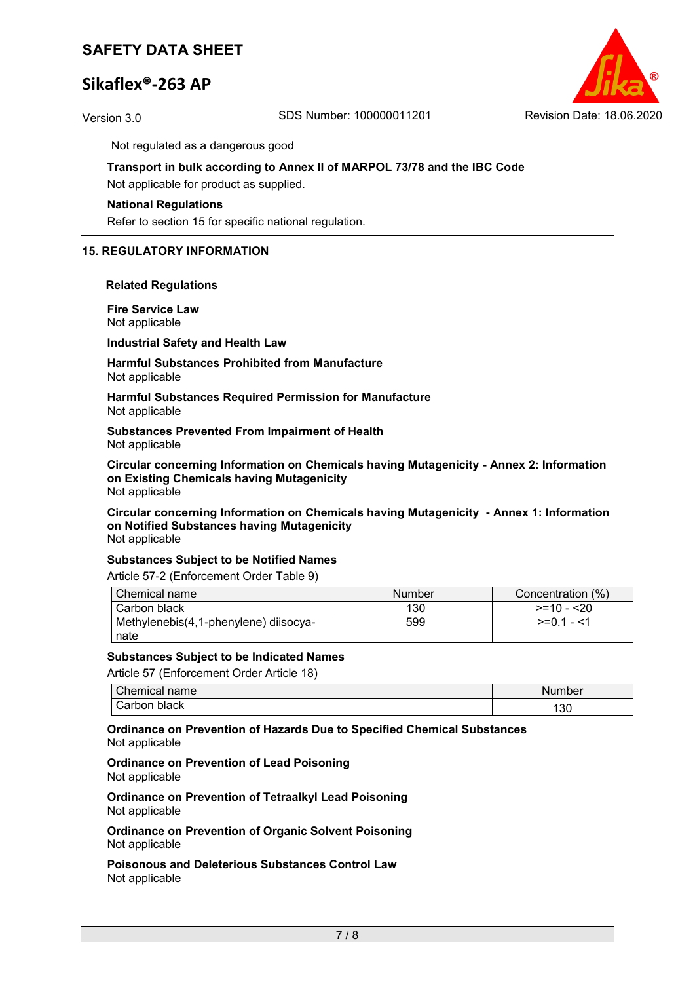### **Sikaflex®-263 AP**



Not regulated as a dangerous good

### **Transport in bulk according to Annex II of MARPOL 73/78 and the IBC Code**

Not applicable for product as supplied.

### **National Regulations**

Refer to section 15 for specific national regulation.

### **15. REGULATORY INFORMATION**

#### **Related Regulations**

**Fire Service Law** Not applicable

**Industrial Safety and Health Law**

#### **Harmful Substances Prohibited from Manufacture** Not applicable

**Harmful Substances Required Permission for Manufacture** Not applicable

**Substances Prevented From Impairment of Health** Not applicable

**Circular concerning Information on Chemicals having Mutagenicity - Annex 2: Information on Existing Chemicals having Mutagenicity** Not applicable

**Circular concerning Information on Chemicals having Mutagenicity - Annex 1: Information on Notified Substances having Mutagenicity** Not applicable

### **Substances Subject to be Notified Names**

Article 57-2 (Enforcement Order Table 9)

| Chemical name                         | Number | Concentration (%) |
|---------------------------------------|--------|-------------------|
| l Carbon black                        | 130    | $>=10 - 20$       |
| Methylenebis(4,1-phenylene) diisocya- | 599    | $>=01 - 1$        |
| nate                                  |        |                   |

#### **Substances Subject to be Indicated Names**

Article 57 (Enforcement Order Article 18)

| $\sim$<br>:`hemical<br>name | Number |
|-----------------------------|--------|
| black<br>arborٽ ت           | 130    |

**Ordinance on Prevention of Hazards Due to Specified Chemical Substances** Not applicable

#### **Ordinance on Prevention of Lead Poisoning** Not applicable

**Ordinance on Prevention of Tetraalkyl Lead Poisoning** Not applicable

**Ordinance on Prevention of Organic Solvent Poisoning** Not applicable

**Poisonous and Deleterious Substances Control Law** Not applicable